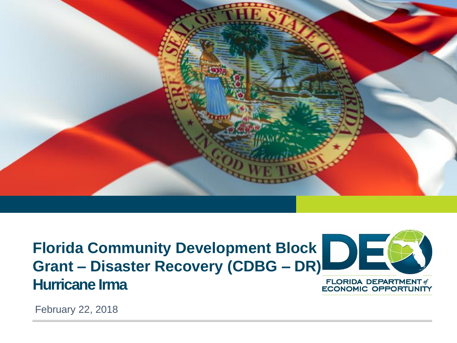

**Florida Community Development Block Grant – Disaster Recovery (CDBG – DR) Hurricane Irma**



**FLORIDA DEPARTMENT of ECONOMIC OPPORTUNITY** 

February 22, 2018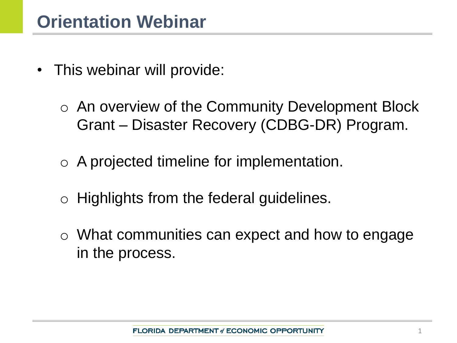- This webinar will provide:
	- o An overview of the Community Development Block Grant – Disaster Recovery (CDBG-DR) Program.
	- o A projected timeline for implementation.
	- o Highlights from the federal guidelines.
	- o What communities can expect and how to engage in the process.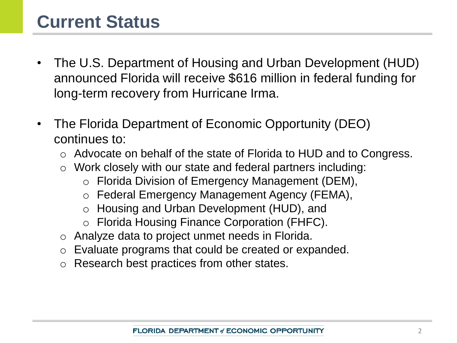### **Current Status**

- The U.S. Department of Housing and Urban Development (HUD) announced Florida will receive \$616 million in federal funding for long-term recovery from Hurricane Irma.
- The Florida Department of Economic Opportunity (DEO) continues to:
	- o Advocate on behalf of the state of Florida to HUD and to Congress.
	- o Work closely with our state and federal partners including:
		- o Florida Division of Emergency Management (DEM),
		- o Federal Emergency Management Agency (FEMA),
		- o Housing and Urban Development (HUD), and
		- o Florida Housing Finance Corporation (FHFC).
	- o Analyze data to project unmet needs in Florida.
	- o Evaluate programs that could be created or expanded.
	- Research best practices from other states.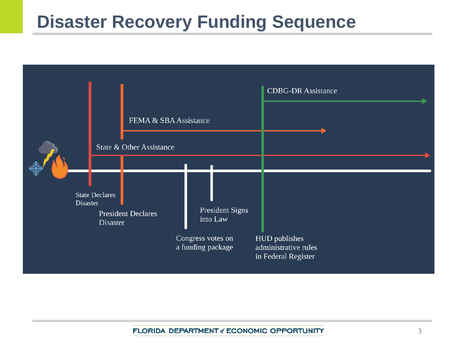### **Disaster Recovery Funding Sequence**

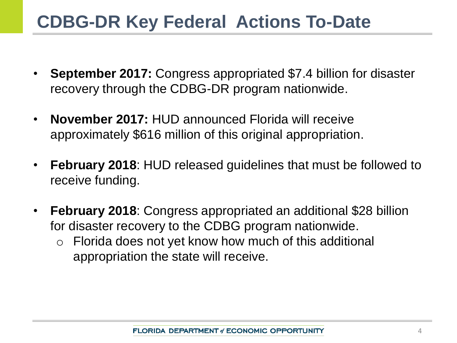### **CDBG-DR Key Federal Actions To-Date**

- **September 2017:** Congress appropriated \$7.4 billion for disaster recovery through the CDBG-DR program nationwide.
- **November 2017:** HUD announced Florida will receive approximately \$616 million of this original appropriation.
- **February 2018**: HUD released guidelines that must be followed to receive funding.
- **February 2018**: Congress appropriated an additional \$28 billion for disaster recovery to the CDBG program nationwide.
	- o Florida does not yet know how much of this additional appropriation the state will receive.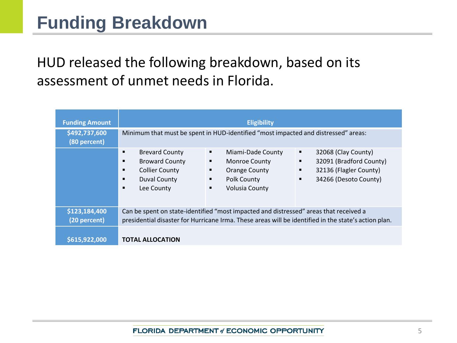### HUD released the following breakdown, based on its assessment of unmet needs in Florida.

| <b>Funding Amount</b><br>\$492,737,600 |                                                                                                                                                                                               | <b>Eligibility</b><br>Minimum that must be spent in HUD-identified "most impacted and distressed" areas:                           |                                                                                                                       |
|----------------------------------------|-----------------------------------------------------------------------------------------------------------------------------------------------------------------------------------------------|------------------------------------------------------------------------------------------------------------------------------------|-----------------------------------------------------------------------------------------------------------------------|
| (80 percent)                           | <b>Brevard County</b><br>$\blacksquare$<br><b>Broward County</b><br>$\blacksquare$<br><b>Collier County</b><br>$\blacksquare$<br><b>Duval County</b><br>п<br>Lee County<br>$\blacksquare$     | ٠<br>Miami-Dade County<br><b>Monroe County</b><br>٠<br><b>Orange County</b><br>٠<br>Polk County<br>٠<br><b>Volusia County</b><br>٠ | 32068 (Clay County)<br>٠<br>32091 (Bradford County)<br>٠<br>32136 (Flagler County)<br>٠<br>34266 (Desoto County)<br>٠ |
| \$123,184,400<br>(20 percent)          | Can be spent on state-identified "most impacted and distressed" areas that received a<br>presidential disaster for Hurricane Irma. These areas will be identified in the state's action plan. |                                                                                                                                    |                                                                                                                       |
| \$615,922,000                          | <b>TOTAL ALLOCATION</b>                                                                                                                                                                       |                                                                                                                                    |                                                                                                                       |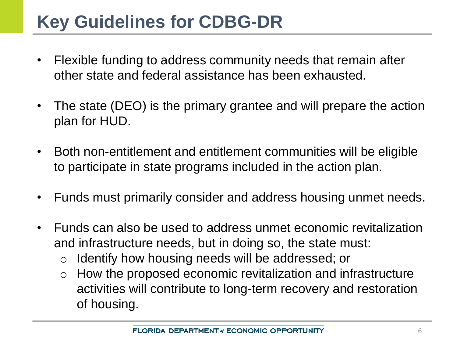# **Key Guidelines for CDBG-DR**

- Flexible funding to address community needs that remain after other state and federal assistance has been exhausted.
- The state (DEO) is the primary grantee and will prepare the action plan for HUD.
- Both non-entitlement and entitlement communities will be eligible to participate in state programs included in the action plan.
- Funds must primarily consider and address housing unmet needs.
- Funds can also be used to address unmet economic revitalization and infrastructure needs, but in doing so, the state must:
	- o Identify how housing needs will be addressed; or
	- $\circ$  How the proposed economic revitalization and infrastructure activities will contribute to long-term recovery and restoration of housing.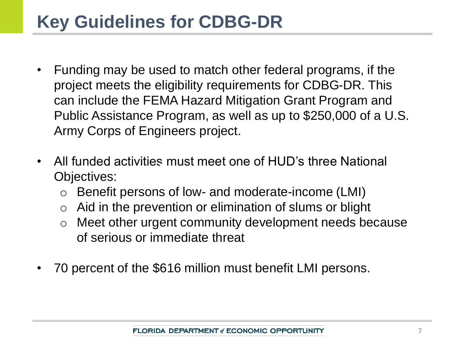### **Key Guidelines for CDBG-DR**

- Funding may be used to match other federal programs, if the project meets the eligibility requirements for CDBG-DR. This can include the FEMA Hazard Mitigation Grant Program and Public Assistance Program, as well as up to \$250,000 of a U.S. Army Corps of Engineers project.
- All funded activities must meet one of HUD's three National Objectives:
	- o Benefit persons of low- and moderate-income (LMI)
	- $\circ$  Aid in the prevention or elimination of slums or blight
	- o Meet other urgent community development needs because of serious or immediate threat
- 70 percent of the \$616 million must benefit LMI persons.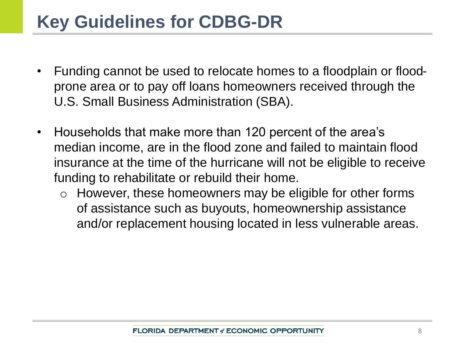### **Key Guidelines for CDBG-DR**

- Funding cannot be used to relocate homes to a floodplain or floodprone area or to pay off loans homeowners received through the U.S. Small Business Administration (SBA).
- Households that make more than 120 percent of the area's median income, are in the flood zone and failed to maintain flood insurance at the time of the hurricane will not be eligible to receive funding to rehabilitate or rebuild their home.
	- o However, these homeowners may be eligible for other forms of assistance such as buyouts, homeownership assistance and/or replacement housing located in less vulnerable areas.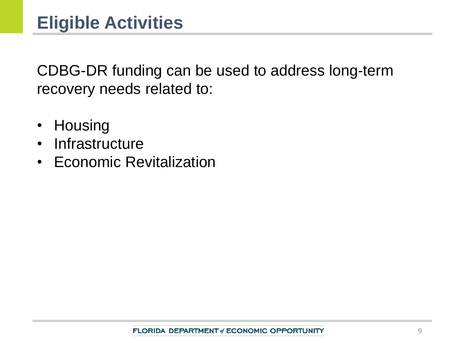CDBG-DR funding can be used to address long-term recovery needs related to:

- Housing
- Infrastructure
- Economic Revitalization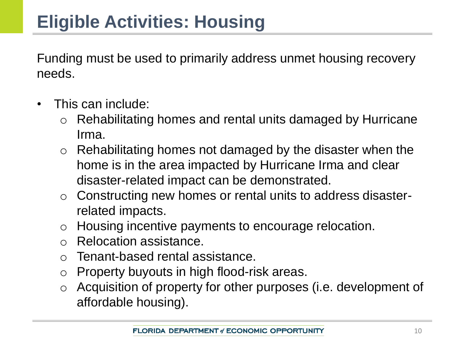Funding must be used to primarily address unmet housing recovery needs.

- This can include:
	- Rehabilitating homes and rental units damaged by Hurricane Irma.
	- $\circ$  Rehabilitating homes not damaged by the disaster when the home is in the area impacted by Hurricane Irma and clear disaster-related impact can be demonstrated.
	- o Constructing new homes or rental units to address disasterrelated impacts.
	- o Housing incentive payments to encourage relocation.
	- o Relocation assistance.
	- o Tenant-based rental assistance.
	- o Property buyouts in high flood-risk areas.
	- o Acquisition of property for other purposes (i.e. development of affordable housing).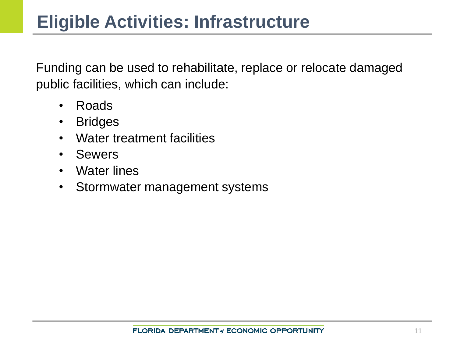Funding can be used to rehabilitate, replace or relocate damaged public facilities, which can include:

- Roads
- Bridges
- Water treatment facilities
- Sewers
- Water lines
- Stormwater management systems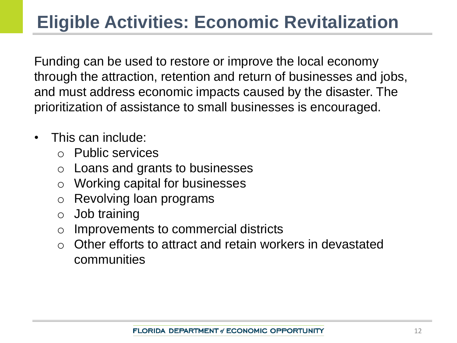### **Eligible Activities: Economic Revitalization**

Funding can be used to restore or improve the local economy through the attraction, retention and return of businesses and jobs, and must address economic impacts caused by the disaster. The prioritization of assistance to small businesses is encouraged.

- This can include:
	- o Public services
	- o Loans and grants to businesses
	- o Working capital for businesses
	- o Revolving loan programs
	- o Job training
	- o Improvements to commercial districts
	- $\circ$  Other efforts to attract and retain workers in devastated communities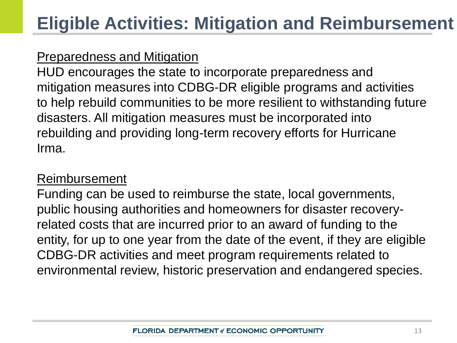#### Preparedness and Mitigation

HUD encourages the state to incorporate preparedness and mitigation measures into CDBG-DR eligible programs and activities to help rebuild communities to be more resilient to withstanding future disasters. All mitigation measures must be incorporated into rebuilding and providing long-term recovery efforts for Hurricane Irma.

#### Reimbursement

Funding can be used to reimburse the state, local governments, public housing authorities and homeowners for disaster recoveryrelated costs that are incurred prior to an award of funding to the entity, for up to one year from the date of the event, if they are eligible CDBG-DR activities and meet program requirements related to environmental review, historic preservation and endangered species.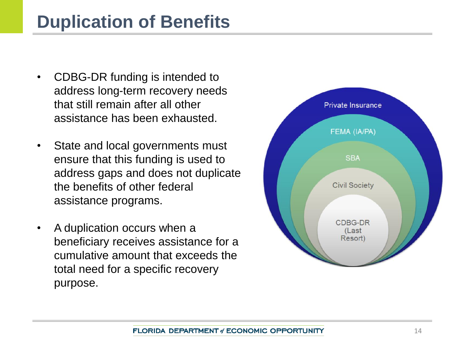### **Duplication of Benefits**

- CDBG-DR funding is intended to address long-term recovery needs that still remain after all other assistance has been exhausted.
- State and local governments must ensure that this funding is used to address gaps and does not duplicate the benefits of other federal assistance programs.
- A duplication occurs when a beneficiary receives assistance for a cumulative amount that exceeds the total need for a specific recovery purpose.

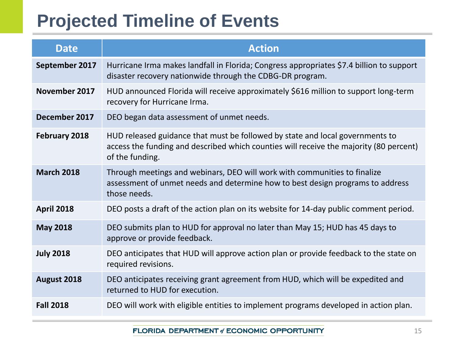# **Projected Timeline of Events**

| <b>Date</b>       | <b>Action</b>                                                                                                                                                                              |  |  |
|-------------------|--------------------------------------------------------------------------------------------------------------------------------------------------------------------------------------------|--|--|
| September 2017    | Hurricane Irma makes landfall in Florida; Congress appropriates \$7.4 billion to support<br>disaster recovery nationwide through the CDBG-DR program.                                      |  |  |
| November 2017     | HUD announced Florida will receive approximately \$616 million to support long-term<br>recovery for Hurricane Irma.                                                                        |  |  |
| December 2017     | DEO began data assessment of unmet needs.                                                                                                                                                  |  |  |
| February 2018     | HUD released guidance that must be followed by state and local governments to<br>access the funding and described which counties will receive the majority (80 percent)<br>of the funding. |  |  |
| <b>March 2018</b> | Through meetings and webinars, DEO will work with communities to finalize<br>assessment of unmet needs and determine how to best design programs to address<br>those needs.                |  |  |
| <b>April 2018</b> | DEO posts a draft of the action plan on its website for 14-day public comment period.                                                                                                      |  |  |
| <b>May 2018</b>   | DEO submits plan to HUD for approval no later than May 15; HUD has 45 days to<br>approve or provide feedback.                                                                              |  |  |
| <b>July 2018</b>  | DEO anticipates that HUD will approve action plan or provide feedback to the state on<br>required revisions.                                                                               |  |  |
| August 2018       | DEO anticipates receiving grant agreement from HUD, which will be expedited and<br>returned to HUD for execution.                                                                          |  |  |
| <b>Fall 2018</b>  | DEO will work with eligible entities to implement programs developed in action plan.                                                                                                       |  |  |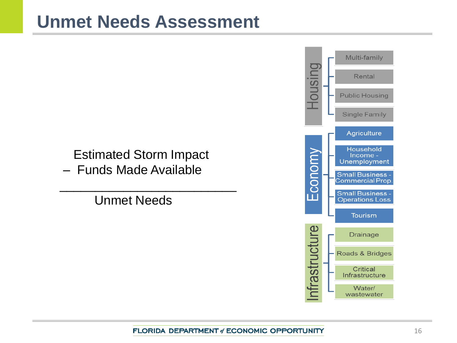### **Unmet Needs Assessment**

### Estimated Storm Impact

 $\overline{\phantom{a}}$  , which is a set of the set of the set of the set of the set of the set of the set of the set of the set of the set of the set of the set of the set of the set of the set of the set of the set of the set of th

– Funds Made Available

Unmet Needs

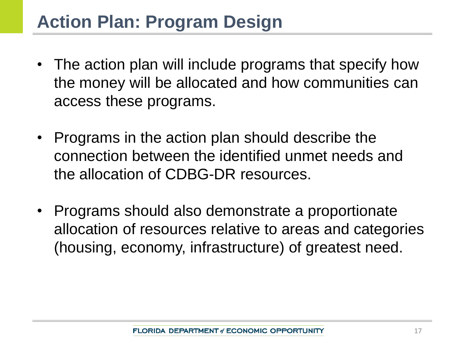### **Action Plan: Program Design**

- The action plan will include programs that specify how the money will be allocated and how communities can access these programs.
- Programs in the action plan should describe the connection between the identified unmet needs and the allocation of CDBG-DR resources.
- Programs should also demonstrate a proportionate allocation of resources relative to areas and categories (housing, economy, infrastructure) of greatest need.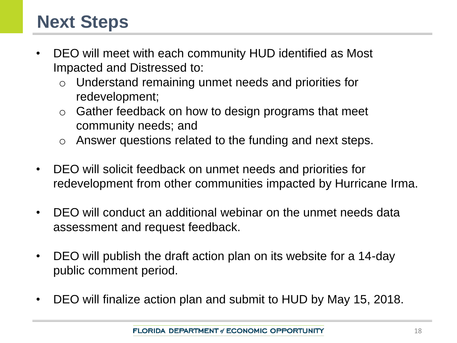### **Next Steps**

- DEO will meet with each community HUD identified as Most Impacted and Distressed to:
	- o Understand remaining unmet needs and priorities for redevelopment;
	- $\circ$  Gather feedback on how to design programs that meet community needs; and
	- o Answer questions related to the funding and next steps.
- DEO will solicit feedback on unmet needs and priorities for redevelopment from other communities impacted by Hurricane Irma.
- DEO will conduct an additional webinar on the unmet needs data assessment and request feedback.
- DEO will publish the draft action plan on its website for a 14-day public comment period.
- DEO will finalize action plan and submit to HUD by May 15, 2018.